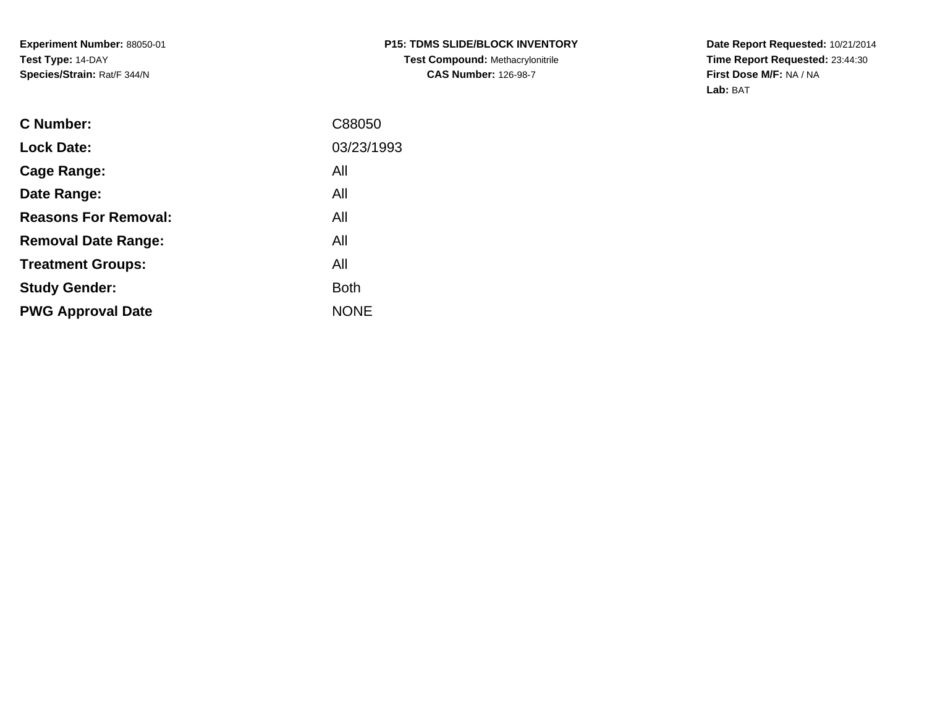**Date Report Requested:** 10/21/2014 **Time Report Requested:** 23:44:30**First Dose M/F:** NA / NA**Lab:** BAT

| <b>C</b> Number:            | C88050      |
|-----------------------------|-------------|
| <b>Lock Date:</b>           | 03/23/1993  |
| Cage Range:                 | All         |
| Date Range:                 | All         |
| <b>Reasons For Removal:</b> | All         |
| <b>Removal Date Range:</b>  | All         |
| <b>Treatment Groups:</b>    | All         |
| <b>Study Gender:</b>        | <b>Both</b> |
| <b>PWG Approval Date</b>    | <b>NONE</b> |
|                             |             |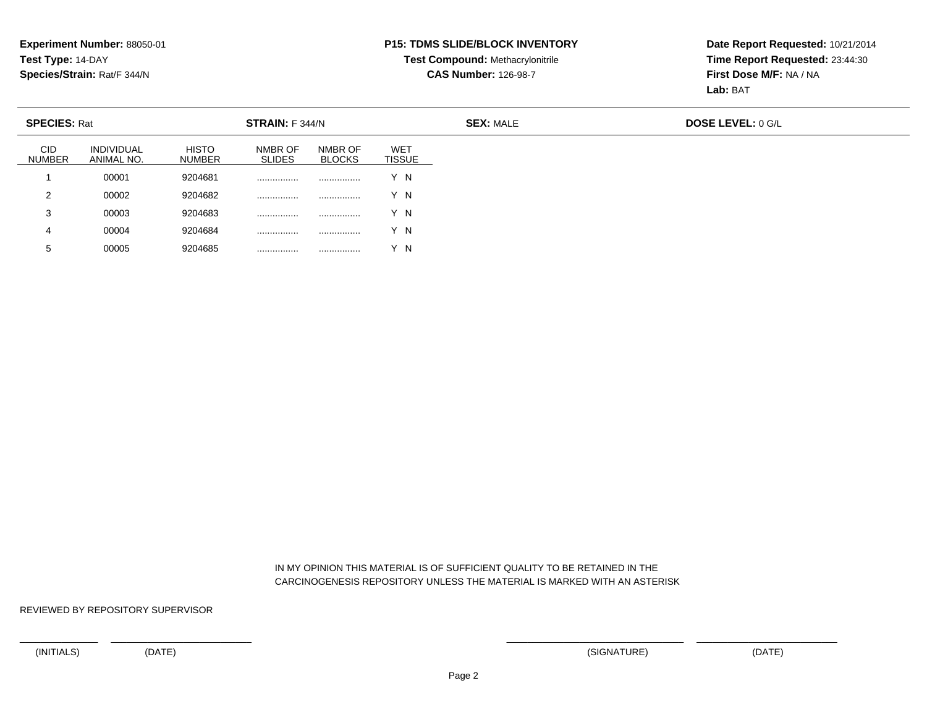#### **P15: TDMS SLIDE/BLOCK INVENTORY**

# **Test Compound:** Methacrylonitrile**CAS Number:** 126-98-7

**Date Report Requested:** 10/21/2014**Time Report Requested:** 23:44:30**First Dose M/F:** NA / NA**Lab:** BAT

| <b>SPECIES: Rat</b>         |                                 |                               | STRAIN: F 344/N          |                          |                             |
|-----------------------------|---------------------------------|-------------------------------|--------------------------|--------------------------|-----------------------------|
| <b>CID</b><br><b>NUMBER</b> | <b>INDIVIDUAL</b><br>ANIMAL NO. | <b>HISTO</b><br><b>NUMBER</b> | NMBR OF<br><b>SLIDES</b> | NMBR OF<br><b>BLOCKS</b> | <b>WET</b><br><b>TISSUE</b> |
|                             | 00001                           | 9204681                       |                          |                          | Y N                         |
| 2                           | 00002                           | 9204682                       |                          |                          | Y N                         |
| 3                           | 00003                           | 9204683                       |                          |                          | Y N                         |
| 4                           | 00004                           | 9204684                       |                          |                          | Y N                         |
| 5                           | 00005                           | 9204685                       |                          |                          | Y N                         |

 IN MY OPINION THIS MATERIAL IS OF SUFFICIENT QUALITY TO BE RETAINED IN THECARCINOGENESIS REPOSITORY UNLESS THE MATERIAL IS MARKED WITH AN ASTERISK

REVIEWED BY REPOSITORY SUPERVISOR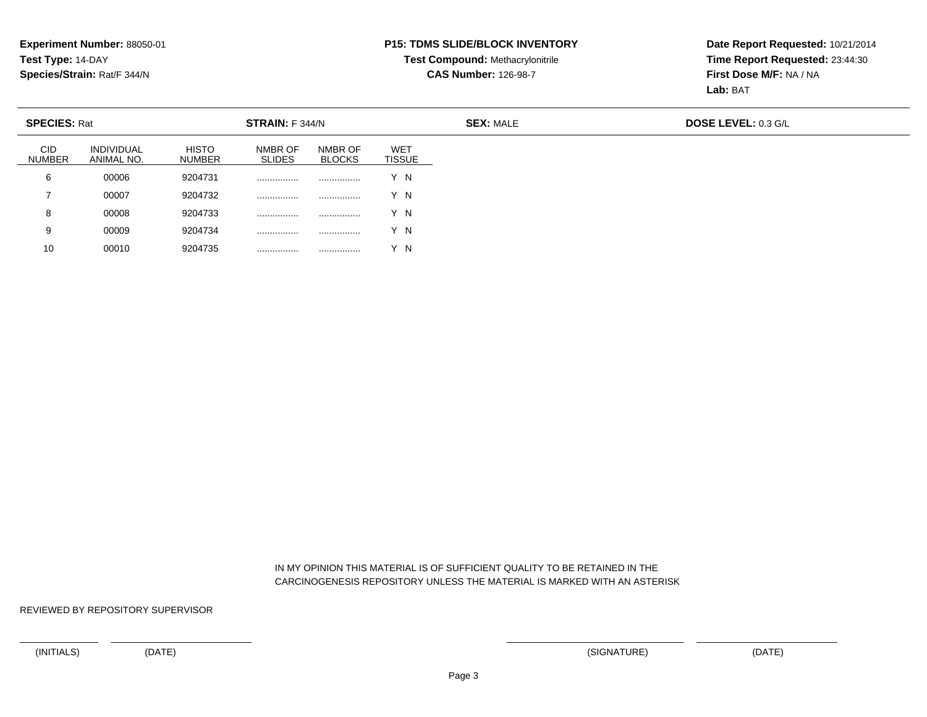#### **P15: TDMS SLIDE/BLOCK INVENTORY**

# **Test Compound:** Methacrylonitrile**CAS Number:** 126-98-7

**Date Report Requested:** 10/21/2014**Time Report Requested:** 23:44:30**First Dose M/F:** NA / NA**Lab:** BAT

| <b>SPECIES: Rat</b>         |                                 |                               | STRAIN: F 344/N          |                          |                             |
|-----------------------------|---------------------------------|-------------------------------|--------------------------|--------------------------|-----------------------------|
| <b>CID</b><br><b>NUMBER</b> | <b>INDIVIDUAL</b><br>ANIMAL NO. | <b>HISTO</b><br><b>NUMBER</b> | NMBR OF<br><b>SLIDES</b> | NMBR OF<br><b>BLOCKS</b> | <b>WET</b><br><b>TISSUE</b> |
| 6                           | 00006                           | 9204731                       |                          |                          | Y N                         |
|                             | 00007                           | 9204732                       |                          |                          | Y N                         |
| 8                           | 00008                           | 9204733                       |                          |                          | Y N                         |
| 9                           | 00009                           | 9204734                       |                          |                          | Y N                         |
| 10                          | 00010                           | 9204735                       |                          |                          | Y N                         |

 IN MY OPINION THIS MATERIAL IS OF SUFFICIENT QUALITY TO BE RETAINED IN THECARCINOGENESIS REPOSITORY UNLESS THE MATERIAL IS MARKED WITH AN ASTERISK

REVIEWED BY REPOSITORY SUPERVISOR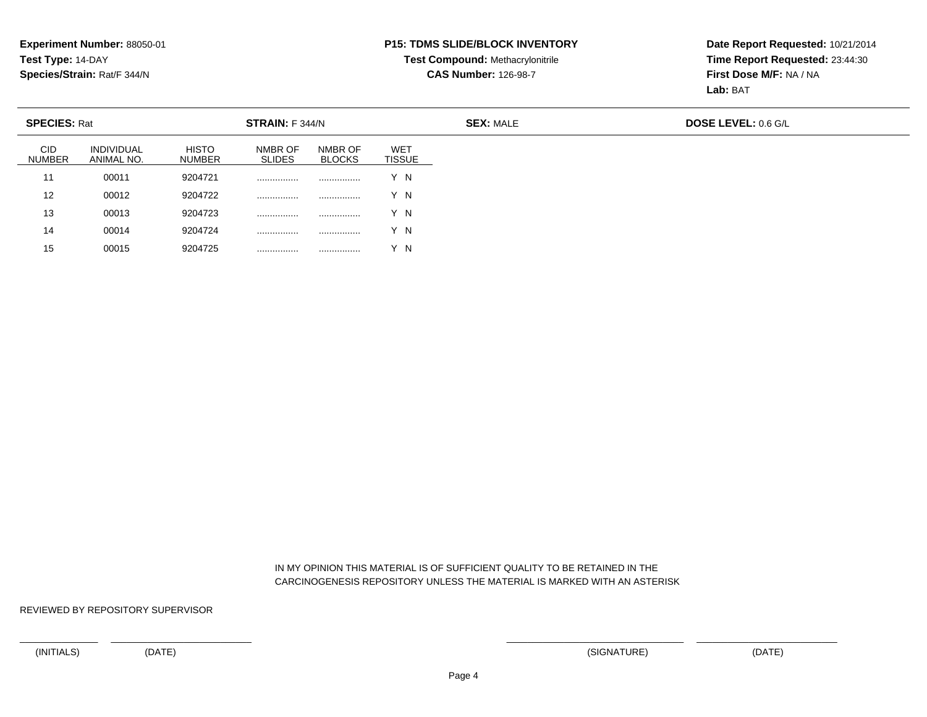#### **P15: TDMS SLIDE/BLOCK INVENTORY**

# **Test Compound:** Methacrylonitrile**CAS Number:** 126-98-7

**Date Report Requested:** 10/21/2014**Time Report Requested:** 23:44:30**First Dose M/F:** NA / NA**Lab:** BAT

| <b>SPECIES: Rat</b>         |                                 |                               | STRAIN: F 344/N          |                          |                             |
|-----------------------------|---------------------------------|-------------------------------|--------------------------|--------------------------|-----------------------------|
| <b>CID</b><br><b>NUMBER</b> | <b>INDIVIDUAL</b><br>ANIMAL NO. | <b>HISTO</b><br><b>NUMBER</b> | NMBR OF<br><b>SLIDES</b> | NMBR OF<br><b>BLOCKS</b> | <b>WET</b><br><b>TISSUE</b> |
| 11                          | 00011                           | 9204721                       | .                        |                          | Y N                         |
| 12                          | 00012                           | 9204722                       | .                        |                          | Y N                         |
| 13                          | 00013                           | 9204723                       | .                        |                          | Y N                         |
| 14                          | 00014                           | 9204724                       | .                        |                          | Y N                         |
| 15                          | 00015                           | 9204725                       | .                        | .                        | Y N                         |

 IN MY OPINION THIS MATERIAL IS OF SUFFICIENT QUALITY TO BE RETAINED IN THECARCINOGENESIS REPOSITORY UNLESS THE MATERIAL IS MARKED WITH AN ASTERISK

REVIEWED BY REPOSITORY SUPERVISOR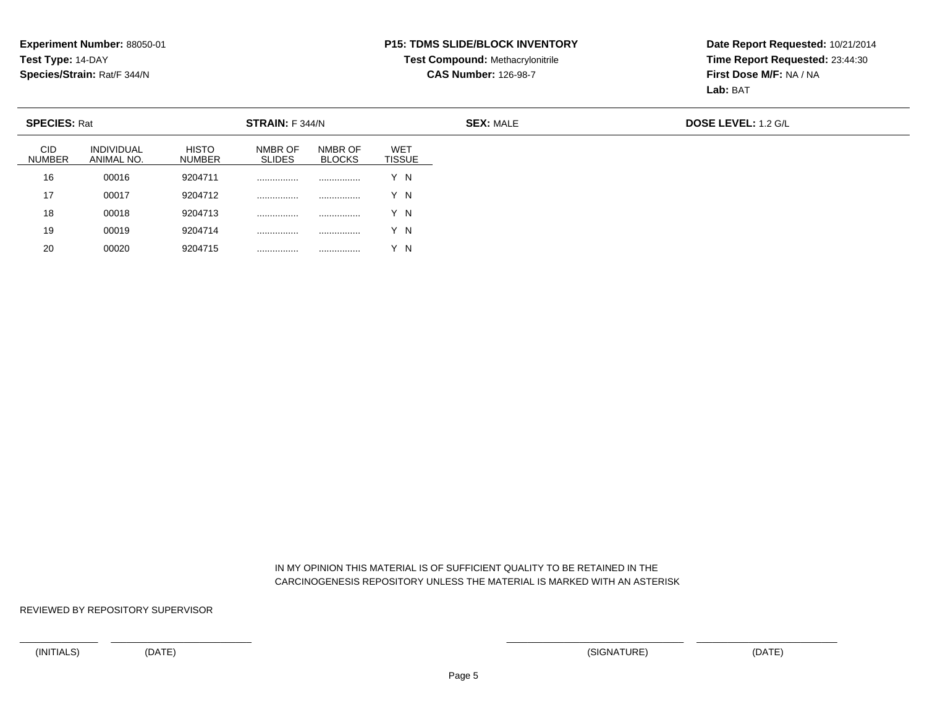#### **P15: TDMS SLIDE/BLOCK INVENTORY**

# **Test Compound:** Methacrylonitrile**CAS Number:** 126-98-7

**Date Report Requested:** 10/21/2014**Time Report Requested:** 23:44:30**First Dose M/F:** NA / NA**Lab:** BAT

| <b>SPECIES: Rat</b>         |                                 |                               | STRAIN: F 344/N          |                          |                             | <b>SEX: MALE</b> | <b>DOSE LEVEL: 1.2 G/L</b> |
|-----------------------------|---------------------------------|-------------------------------|--------------------------|--------------------------|-----------------------------|------------------|----------------------------|
| <b>CID</b><br><b>NUMBER</b> | <b>INDIVIDUAL</b><br>ANIMAL NO. | <b>HISTO</b><br><b>NUMBER</b> | NMBR OF<br><b>SLIDES</b> | NMBR OF<br><b>BLOCKS</b> | <b>WET</b><br><b>TISSUE</b> |                  |                            |
| 16                          | 00016                           | 9204711                       | .                        | .                        | Y N                         |                  |                            |
| 17                          | 00017                           | 9204712                       | .                        | .                        | Y N                         |                  |                            |
| 18                          | 00018                           | 9204713                       | .                        | .                        | Y N                         |                  |                            |
| 19                          | 00019                           | 9204714                       | .                        | .                        | Y N                         |                  |                            |
| 20                          | 00020                           | 9204715                       | .                        |                          | Y N                         |                  |                            |

 IN MY OPINION THIS MATERIAL IS OF SUFFICIENT QUALITY TO BE RETAINED IN THECARCINOGENESIS REPOSITORY UNLESS THE MATERIAL IS MARKED WITH AN ASTERISK

REVIEWED BY REPOSITORY SUPERVISOR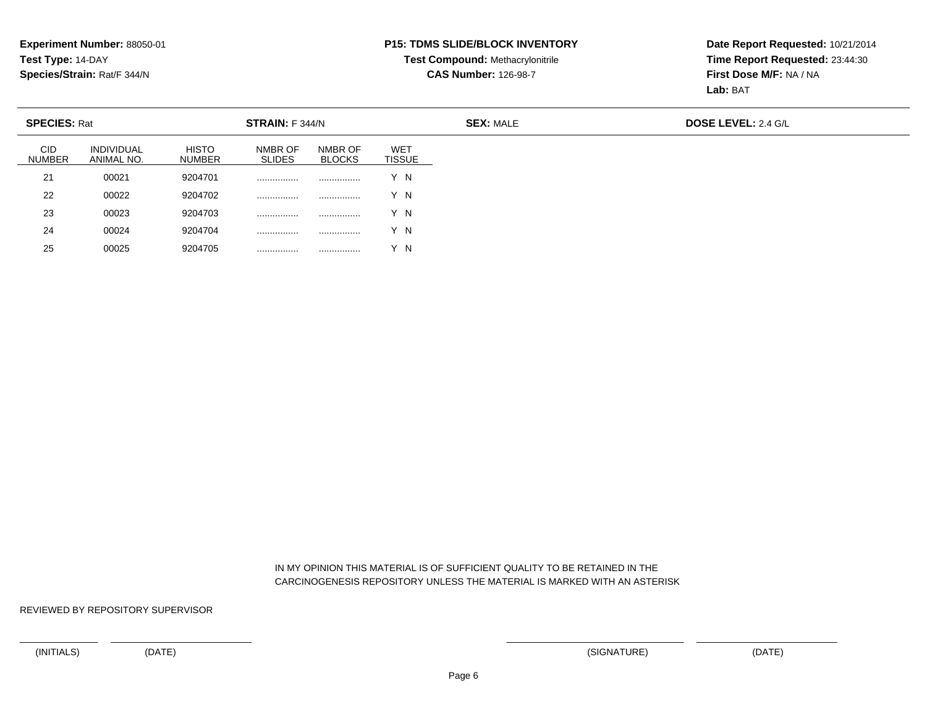#### **P15: TDMS SLIDE/BLOCK INVENTORY**

# **Test Compound:** Methacrylonitrile**CAS Number:** 126-98-7

**Date Report Requested:** 10/21/2014**Time Report Requested:** 23:44:30**First Dose M/F:** NA / NA**Lab:** BAT

| <b>SPECIES: Rat</b>         |                                 |                               | STRAIN: F 344/N          |                          |                             | <b>SEX: MALE</b> |  |
|-----------------------------|---------------------------------|-------------------------------|--------------------------|--------------------------|-----------------------------|------------------|--|
| <b>CID</b><br><b>NUMBER</b> | <b>INDIVIDUAL</b><br>ANIMAL NO. | <b>HISTO</b><br><b>NUMBER</b> | NMBR OF<br><b>SLIDES</b> | NMBR OF<br><b>BLOCKS</b> | <b>WET</b><br><b>TISSUE</b> |                  |  |
| 21                          | 00021                           | 9204701                       |                          |                          | Y N                         |                  |  |
| 22                          | 00022                           | 9204702                       |                          |                          | Y N                         |                  |  |
| 23                          | 00023                           | 9204703                       |                          |                          | Y N                         |                  |  |
| 24                          | 00024                           | 9204704                       | .                        |                          | Y N                         |                  |  |
| 25                          | 00025                           | 9204705                       |                          | .                        | Y N                         |                  |  |

 IN MY OPINION THIS MATERIAL IS OF SUFFICIENT QUALITY TO BE RETAINED IN THECARCINOGENESIS REPOSITORY UNLESS THE MATERIAL IS MARKED WITH AN ASTERISK

REVIEWED BY REPOSITORY SUPERVISOR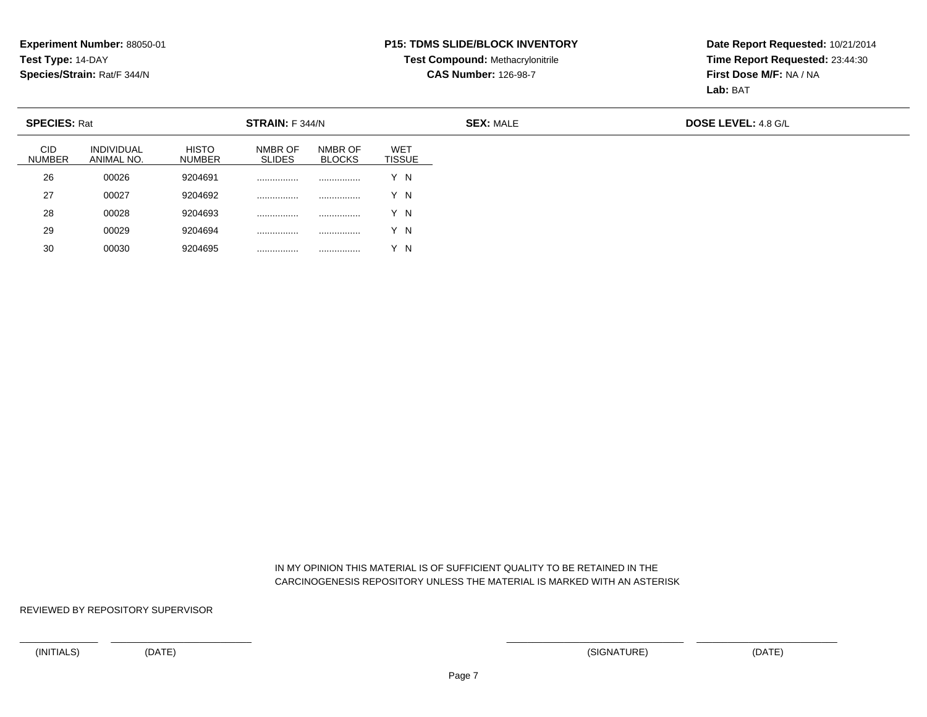#### **P15: TDMS SLIDE/BLOCK INVENTORY**

# **Test Compound:** Methacrylonitrile**CAS Number:** 126-98-7

**Date Report Requested:** 10/21/2014**Time Report Requested:** 23:44:30**First Dose M/F:** NA / NA**Lab:** BAT

| <b>SPECIES: Rat</b>         |                                 |                               | STRAIN: F 344/N          |                          |                             |
|-----------------------------|---------------------------------|-------------------------------|--------------------------|--------------------------|-----------------------------|
| <b>CID</b><br><b>NUMBER</b> | <b>INDIVIDUAL</b><br>ANIMAL NO. | <b>HISTO</b><br><b>NUMBER</b> | NMBR OF<br><b>SLIDES</b> | NMBR OF<br><b>BLOCKS</b> | <b>WET</b><br><b>TISSUE</b> |
| 26                          | 00026                           | 9204691                       |                          |                          | Y N                         |
| 27                          | 00027                           | 9204692                       |                          | .                        | Y N                         |
| 28                          | 00028                           | 9204693                       |                          | .                        | Y N                         |
| 29                          | 00029                           | 9204694                       |                          | .                        | Y N                         |
| 30                          | 00030                           | 9204695                       |                          |                          | Y N                         |

 IN MY OPINION THIS MATERIAL IS OF SUFFICIENT QUALITY TO BE RETAINED IN THECARCINOGENESIS REPOSITORY UNLESS THE MATERIAL IS MARKED WITH AN ASTERISK

REVIEWED BY REPOSITORY SUPERVISOR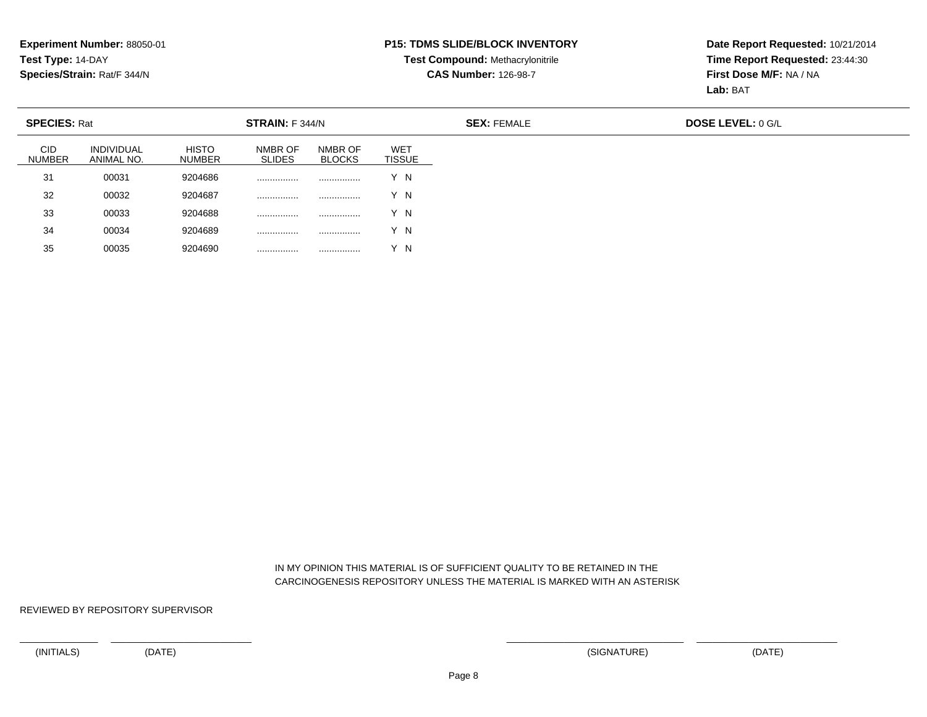#### **P15: TDMS SLIDE/BLOCK INVENTORY**

# **Test Compound:** Methacrylonitrile**CAS Number:** 126-98-7

**Date Report Requested:** 10/21/2014**Time Report Requested:** 23:44:30**First Dose M/F:** NA / NA**Lab:** BAT

| <b>SPECIES: Rat</b>         |                                 |                               | STRAIN: F 344/N          |                          |                             |
|-----------------------------|---------------------------------|-------------------------------|--------------------------|--------------------------|-----------------------------|
| <b>CID</b><br><b>NUMBER</b> | <b>INDIVIDUAL</b><br>ANIMAL NO. | <b>HISTO</b><br><b>NUMBER</b> | NMBR OF<br><b>SLIDES</b> | NMBR OF<br><b>BLOCKS</b> | <b>WET</b><br><b>TISSUE</b> |
| 31                          | 00031                           | 9204686                       |                          |                          | Y N                         |
| 32                          | 00032                           | 9204687                       |                          | .                        | Y N                         |
| 33                          | 00033                           | 9204688                       |                          | .                        | Y N                         |
| 34                          | 00034                           | 9204689                       |                          | .                        | Y N                         |
| 35                          | 00035                           | 9204690                       | .                        |                          | Y N                         |

 IN MY OPINION THIS MATERIAL IS OF SUFFICIENT QUALITY TO BE RETAINED IN THECARCINOGENESIS REPOSITORY UNLESS THE MATERIAL IS MARKED WITH AN ASTERISK

REVIEWED BY REPOSITORY SUPERVISOR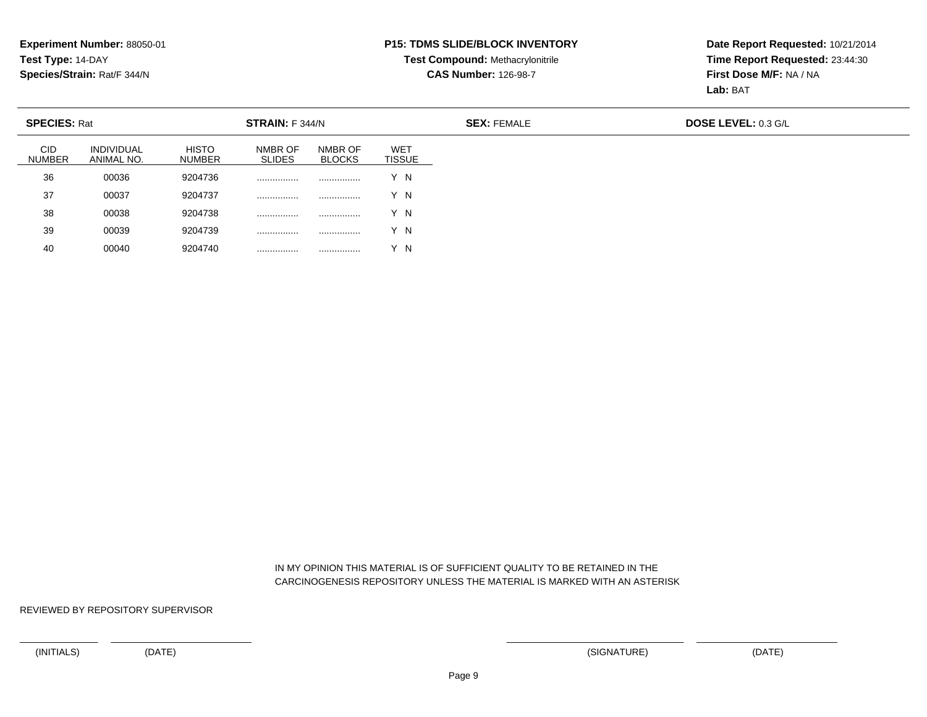#### **P15: TDMS SLIDE/BLOCK INVENTORY**

# **Test Compound:** Methacrylonitrile**CAS Number:** 126-98-7

**Date Report Requested:** 10/21/2014**Time Report Requested:** 23:44:30**First Dose M/F:** NA / NA**Lab:** BAT

| <b>SPECIES: Rat</b>         |                                 |                               | STRAIN: F 344/N          |                          |                             |
|-----------------------------|---------------------------------|-------------------------------|--------------------------|--------------------------|-----------------------------|
| <b>CID</b><br><b>NUMBER</b> | <b>INDIVIDUAL</b><br>ANIMAL NO. | <b>HISTO</b><br><b>NUMBER</b> | NMBR OF<br><b>SLIDES</b> | NMBR OF<br><b>BLOCKS</b> | <b>WET</b><br><b>TISSUE</b> |
| 36                          | 00036                           | 9204736                       |                          | .                        | Y N                         |
| 37                          | 00037                           | 9204737                       |                          |                          | Y N                         |
| 38                          | 00038                           | 9204738                       |                          |                          | Y N                         |
| 39                          | 00039                           | 9204739                       |                          |                          | Y N                         |
| 40                          | 00040                           | 9204740                       | .                        | .                        | Y N                         |

 IN MY OPINION THIS MATERIAL IS OF SUFFICIENT QUALITY TO BE RETAINED IN THECARCINOGENESIS REPOSITORY UNLESS THE MATERIAL IS MARKED WITH AN ASTERISK

REVIEWED BY REPOSITORY SUPERVISOR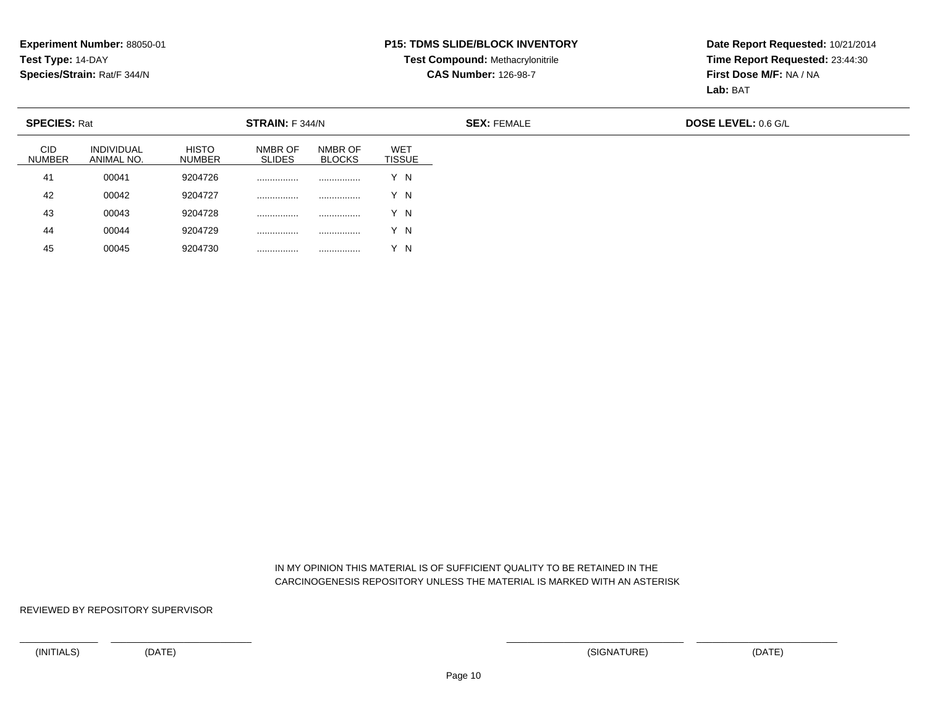#### **P15: TDMS SLIDE/BLOCK INVENTORY**

# **Test Compound:** Methacrylonitrile**CAS Number:** 126-98-7

**Date Report Requested:** 10/21/2014**Time Report Requested:** 23:44:30**First Dose M/F:** NA / NA**Lab:** BAT

| <b>SPECIES: Rat</b>         |                                 |                               | STRAIN: F 344/N          |                          |                             |
|-----------------------------|---------------------------------|-------------------------------|--------------------------|--------------------------|-----------------------------|
| <b>CID</b><br><b>NUMBER</b> | <b>INDIVIDUAL</b><br>ANIMAL NO. | <b>HISTO</b><br><b>NUMBER</b> | NMBR OF<br><b>SLIDES</b> | NMBR OF<br><b>BLOCKS</b> | <b>WET</b><br><b>TISSUE</b> |
| 41                          | 00041                           | 9204726                       |                          |                          | Y N                         |
| 42                          | 00042                           | 9204727                       |                          |                          | Y N                         |
| 43                          | 00043                           | 9204728                       |                          |                          | Y N                         |
| 44                          | 00044                           | 9204729                       |                          |                          | Y N                         |
| 45                          | 00045                           | 9204730                       |                          |                          | Y N                         |

 IN MY OPINION THIS MATERIAL IS OF SUFFICIENT QUALITY TO BE RETAINED IN THECARCINOGENESIS REPOSITORY UNLESS THE MATERIAL IS MARKED WITH AN ASTERISK

REVIEWED BY REPOSITORY SUPERVISOR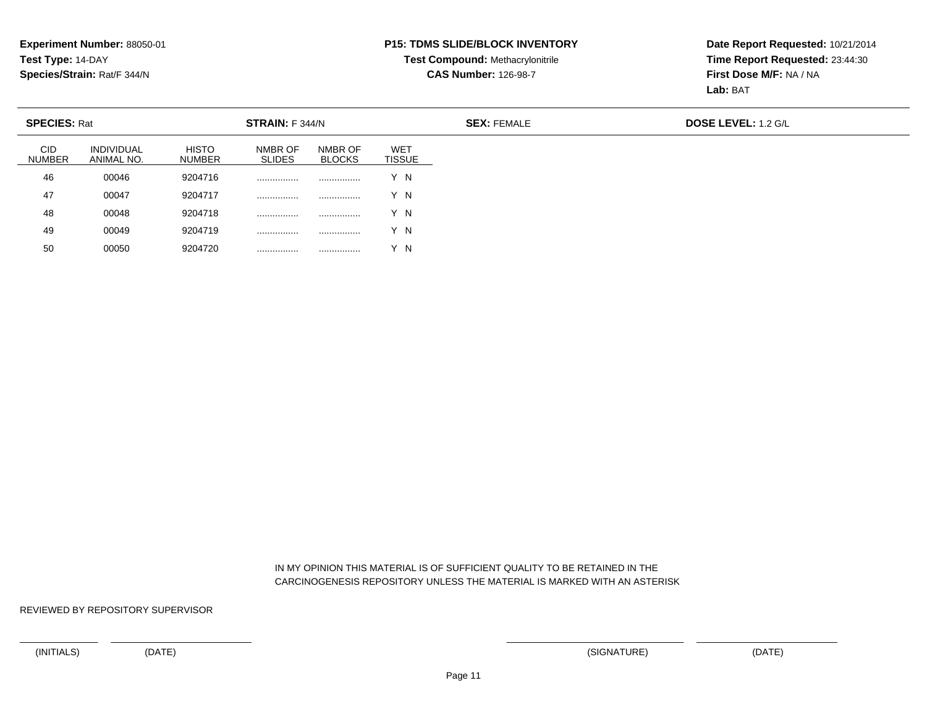#### **P15: TDMS SLIDE/BLOCK INVENTORY**

# **Test Compound:** Methacrylonitrile**CAS Number:** 126-98-7

**Date Report Requested:** 10/21/2014**Time Report Requested:** 23:44:30**First Dose M/F:** NA / NA**Lab:** BAT

| <b>SPECIES: Rat</b>         |                                 |                               | STRAIN: F 344/N          |                          |                             | <b>SEX: FEMALE</b> |  |
|-----------------------------|---------------------------------|-------------------------------|--------------------------|--------------------------|-----------------------------|--------------------|--|
| <b>CID</b><br><b>NUMBER</b> | <b>INDIVIDUAL</b><br>ANIMAL NO. | <b>HISTO</b><br><b>NUMBER</b> | NMBR OF<br><b>SLIDES</b> | NMBR OF<br><b>BLOCKS</b> | <b>WET</b><br><b>TISSUE</b> |                    |  |
| 46                          | 00046                           | 9204716                       | .                        |                          | Y N                         |                    |  |
| 47                          | 00047                           | 9204717                       | .                        | .                        | Y N                         |                    |  |
| 48                          | 00048                           | 9204718                       | .                        |                          | Y N                         |                    |  |
| 49                          | 00049                           | 9204719                       | .                        |                          | Y N                         |                    |  |
| 50                          | 00050                           | 9204720                       | .                        |                          | Y N                         |                    |  |

 IN MY OPINION THIS MATERIAL IS OF SUFFICIENT QUALITY TO BE RETAINED IN THECARCINOGENESIS REPOSITORY UNLESS THE MATERIAL IS MARKED WITH AN ASTERISK

REVIEWED BY REPOSITORY SUPERVISOR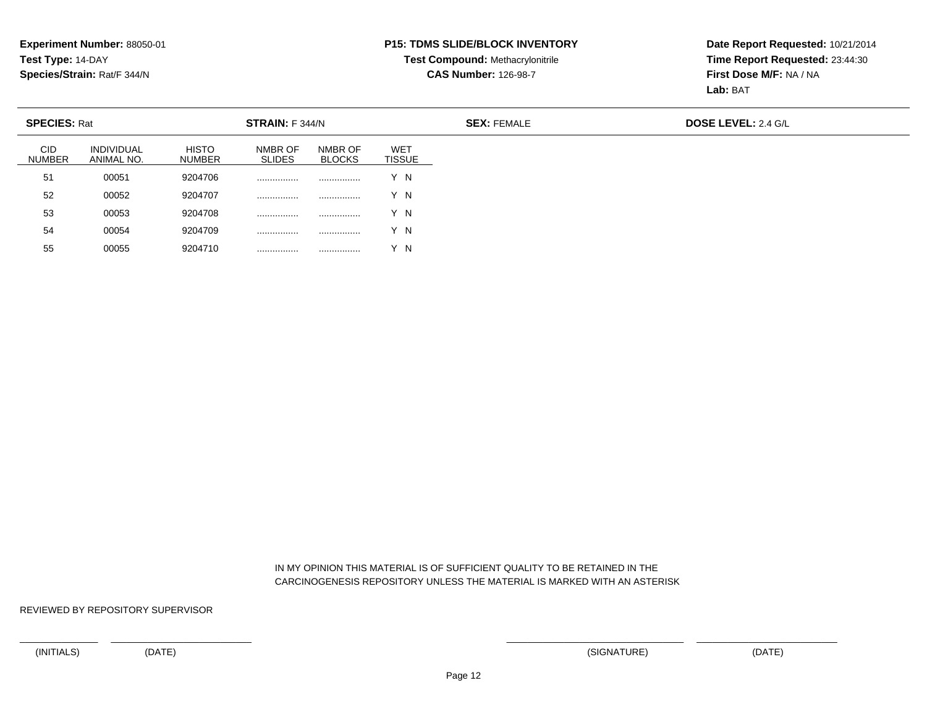#### **P15: TDMS SLIDE/BLOCK INVENTORY**

# **Test Compound:** Methacrylonitrile**CAS Number:** 126-98-7

**Date Report Requested:** 10/21/2014**Time Report Requested:** 23:44:30**First Dose M/F:** NA / NA**Lab:** BAT

| <b>SPECIES: Rat</b>         |                                 |                               | STRAIN: F 344/N          |                          |                             | <b>SEX: FEMALE</b> | <b>DOSE LEVEL: 2.4 G/L</b> |
|-----------------------------|---------------------------------|-------------------------------|--------------------------|--------------------------|-----------------------------|--------------------|----------------------------|
| <b>CID</b><br><b>NUMBER</b> | <b>INDIVIDUAL</b><br>ANIMAL NO. | <b>HISTO</b><br><b>NUMBER</b> | NMBR OF<br><b>SLIDES</b> | NMBR OF<br><b>BLOCKS</b> | <b>WET</b><br><b>TISSUE</b> |                    |                            |
| 51                          | 00051                           | 9204706                       |                          |                          | Y N                         |                    |                            |
| 52                          | 00052                           | 9204707                       |                          |                          | Y N                         |                    |                            |
| 53                          | 00053                           | 9204708                       |                          |                          | Y N                         |                    |                            |
| 54                          | 00054                           | 9204709                       | .                        |                          | Y N                         |                    |                            |
| 55                          | 00055                           | 9204710                       | .                        |                          | Y N                         |                    |                            |

 IN MY OPINION THIS MATERIAL IS OF SUFFICIENT QUALITY TO BE RETAINED IN THECARCINOGENESIS REPOSITORY UNLESS THE MATERIAL IS MARKED WITH AN ASTERISK

REVIEWED BY REPOSITORY SUPERVISOR